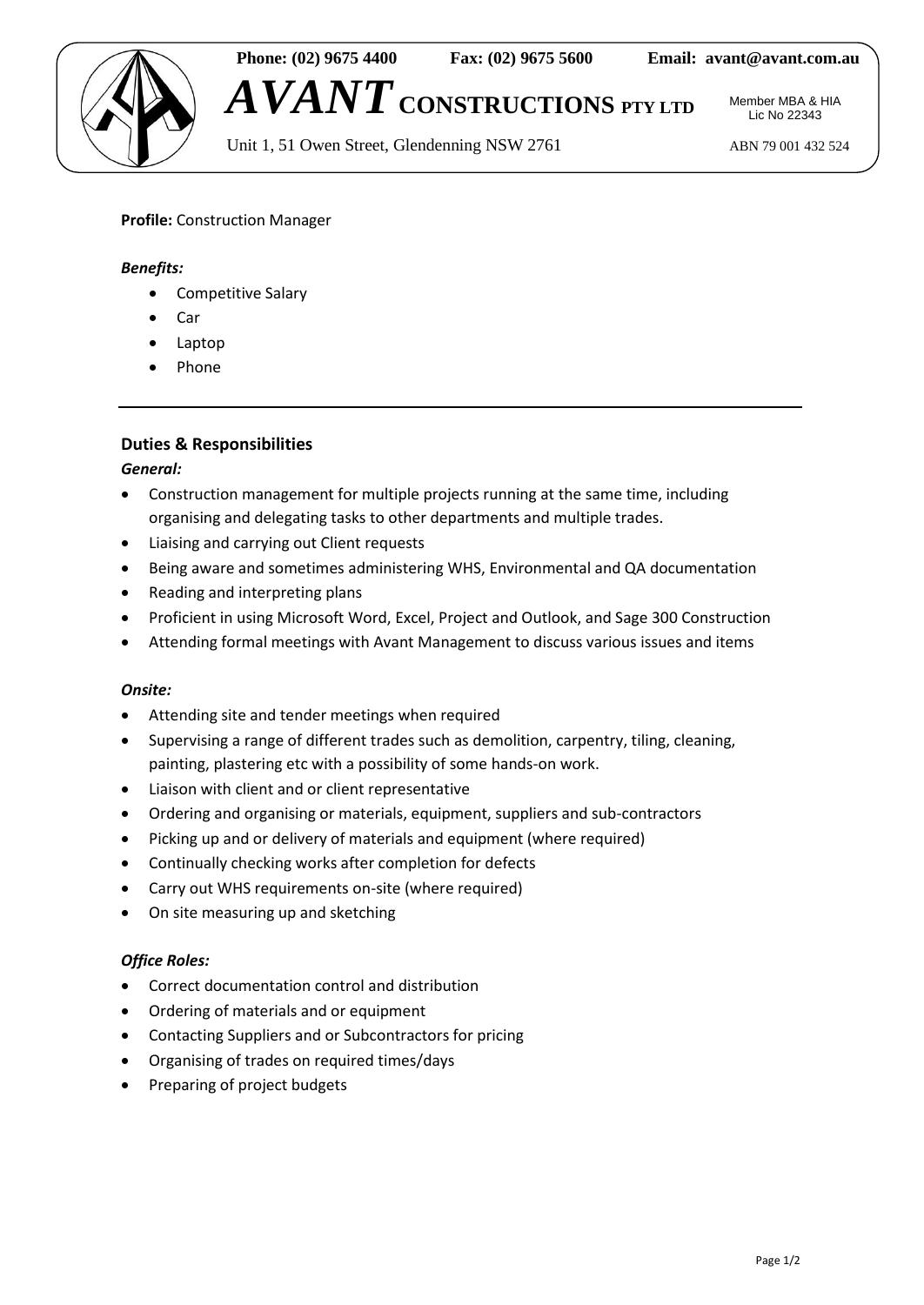

**Phone: (02) 9675 4400 Fax: (02) 9675 5600 Email: [avant@avant.com.au](mailto:avant@avant.com.au)**

*AVANT* **CONSTRUCTIONS PTY LTD**

Unit 1, 51 Owen Street, Glendenning NSW 2761 ABN 79 001 432 524

Member MBA & HIA Lic No 22343

# **Profile:** Construction Manager

### *Benefits:*

- Competitive Salary
- Car
- Laptop
- Phone

## **Duties & Responsibilities**

#### *General:*

- Construction management for multiple projects running at the same time, including organising and delegating tasks to other departments and multiple trades.
- Liaising and carrying out Client requests
- Being aware and sometimes administering WHS, Environmental and QA documentation
- Reading and interpreting plans
- Proficient in using Microsoft Word, Excel, Project and Outlook, and Sage 300 Construction
- Attending formal meetings with Avant Management to discuss various issues and items

#### *Onsite:*

- Attending site and tender meetings when required
- Supervising a range of different trades such as demolition, carpentry, tiling, cleaning, painting, plastering etc with a possibility of some hands-on work.
- Liaison with client and or client representative
- Ordering and organising or materials, equipment, suppliers and sub-contractors
- Picking up and or delivery of materials and equipment (where required)
- Continually checking works after completion for defects
- Carry out WHS requirements on-site (where required)
- On site measuring up and sketching

## *Office Roles:*

- Correct documentation control and distribution
- Ordering of materials and or equipment
- Contacting Suppliers and or Subcontractors for pricing
- Organising of trades on required times/days
- Preparing of project budgets